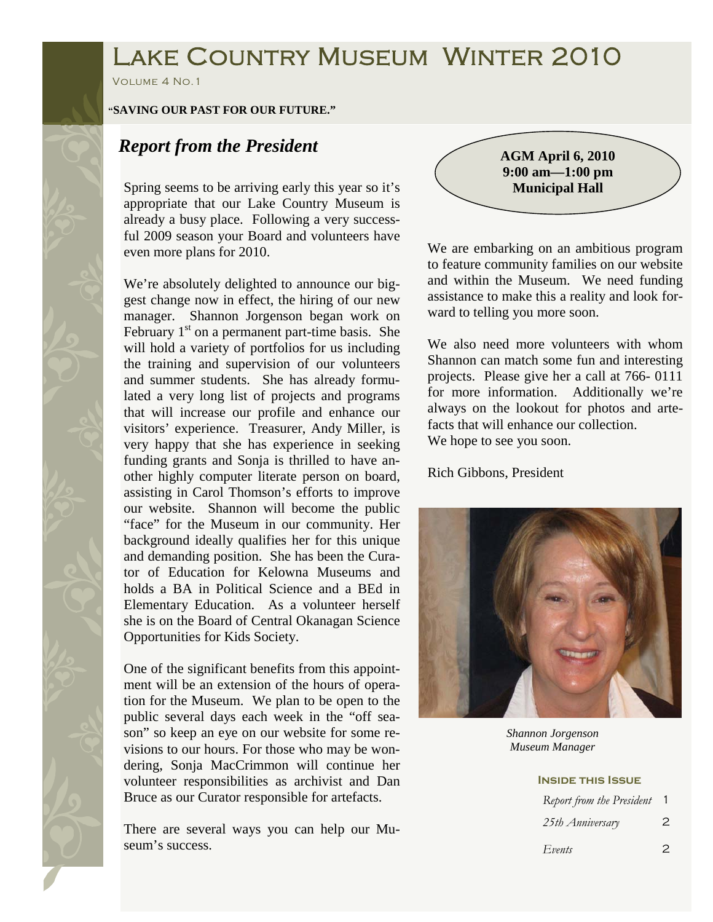# Lake Country Museum Winter 2010

Volume 4 No.1

#### **"SAVING OUR PAST FOR OUR FUTURE."**

## *Report from the President*

Spring seems to be arriving early this year so it's appropriate that our Lake Country Museum is already a busy place. Following a very successful 2009 season your Board and volunteers have even more plans for 2010.

We're absolutely delighted to announce our biggest change now in effect, the hiring of our new manager. Shannon Jorgenson began work on February  $1<sup>st</sup>$  on a permanent part-time basis. She will hold a variety of portfolios for us including the training and supervision of our volunteers and summer students. She has already formulated a very long list of projects and programs that will increase our profile and enhance our visitors' experience. Treasurer, Andy Miller, is very happy that she has experience in seeking funding grants and Sonja is thrilled to have another highly computer literate person on board, assisting in Carol Thomson's efforts to improve our website. Shannon will become the public "face" for the Museum in our community. Her background ideally qualifies her for this unique and demanding position. She has been the Curator of Education for Kelowna Museums and holds a BA in Political Science and a BEd in Elementary Education. As a volunteer herself she is on the Board of Central Okanagan Science Opportunities for Kids Society.

One of the significant benefits from this appointment will be an extension of the hours of operation for the Museum. We plan to be open to the public several days each week in the "off season" so keep an eye on our website for some revisions to our hours. For those who may be wondering, Sonja MacCrimmon will continue her volunteer responsibilities as archivist and Dan Bruce as our Curator responsible for artefacts.

There are several ways you can help our Museum's success.

**AGM April 6, 2010 9:00 am—1:00 pm Municipal Hall** 

We are embarking on an ambitious program to feature community families on our website and within the Museum. We need funding assistance to make this a reality and look forward to telling you more soon.

We also need more volunteers with whom Shannon can match some fun and interesting projects. Please give her a call at 766- 0111 for more information. Additionally we're always on the lookout for photos and artefacts that will enhance our collection. We hope to see you soon.

Rich Gibbons, President



*Shannon Jorgenson Museum Manager* 

#### **Inside this Issue**

| Report from the President |   |
|---------------------------|---|
| 25th Anniversary          | 2 |
| Events                    |   |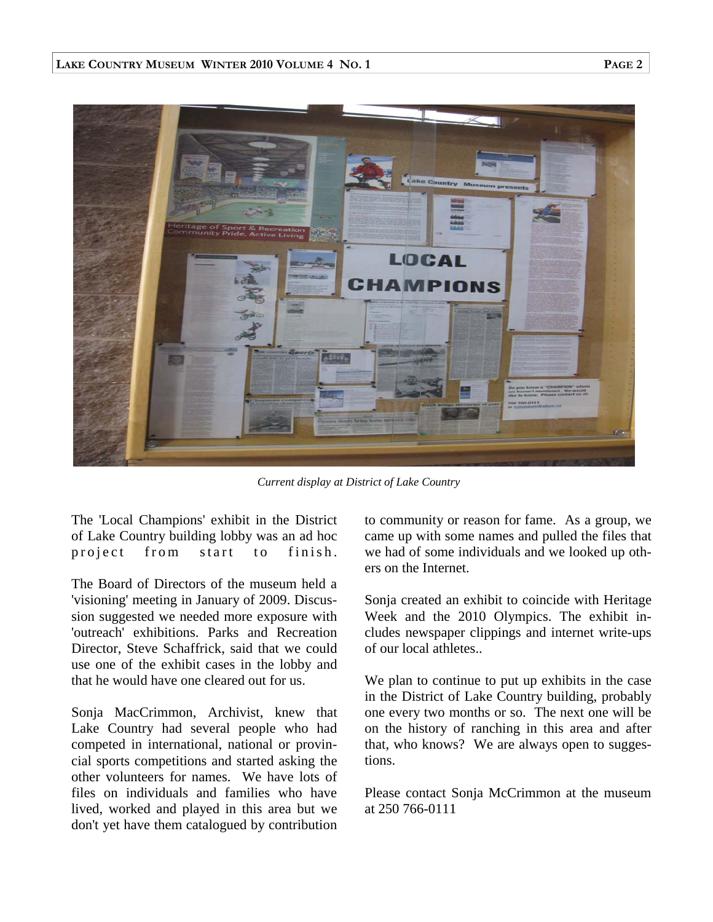

*Current display at District of Lake Country* 

The 'Local Champions' exhibit in the District of Lake Country building lobby was an ad hoc project from start to finish.

The Board of Directors of the museum held a 'visioning' meeting in January of 2009. Discussion suggested we needed more exposure with 'outreach' exhibitions. Parks and Recreation Director, Steve Schaffrick, said that we could use one of the exhibit cases in the lobby and that he would have one cleared out for us.

Sonja MacCrimmon, Archivist, knew that Lake Country had several people who had competed in international, national or provincial sports competitions and started asking the other volunteers for names. We have lots of files on individuals and families who have lived, worked and played in this area but we don't yet have them catalogued by contribution to community or reason for fame. As a group, we came up with some names and pulled the files that we had of some individuals and we looked up others on the Internet.

Sonja created an exhibit to coincide with Heritage Week and the 2010 Olympics. The exhibit includes newspaper clippings and internet write-ups of our local athletes..

We plan to continue to put up exhibits in the case in the District of Lake Country building, probably one every two months or so. The next one will be on the history of ranching in this area and after that, who knows? We are always open to suggestions.

Please contact Sonja McCrimmon at the museum at 250 766-0111